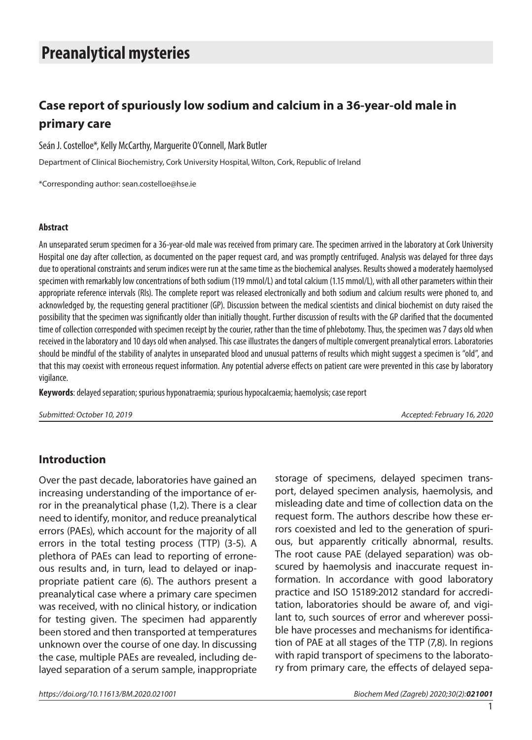# **Preanalytical mysteries**

# **Case report of spuriously low sodium and calcium in a 36-year-old male in primary care**

Seán J. Costelloe\*, Kelly McCarthy, Marguerite O'Connell, Mark Butler

Department of Clinical Biochemistry, Cork University Hospital, Wilton, Cork, Republic of Ireland

\*Corresponding author: [sean.costelloe@hse.ie](mailto:sean.costelloe@hse.ie)

### **Abstract**

An unseparated serum specimen for a 36-year-old male was received from primary care. The specimen arrived in the laboratory at Cork University Hospital one day after collection, as documented on the paper request card, and was promptly centrifuged. Analysis was delayed for three days due to operational constraints and serum indices were run at the same time as the biochemical analyses. Results showed a moderately haemolysed specimen with remarkably low concentrations of both sodium (119 mmol/L) and total calcium (1.15 mmol/L), with all other parameters within their appropriate reference intervals (RIs). The complete report was released electronically and both sodium and calcium results were phoned to, and acknowledged by, the requesting general practitioner (GP). Discussion between the medical scientists and clinical biochemist on duty raised the possibility that the specimen was significantly older than initially thought. Further discussion of results with the GP clarified that the documented time of collection corresponded with specimen receipt by the courier, rather than the time of phlebotomy. Thus, the specimen was 7 days old when received in the laboratory and 10 days old when analysed. This case illustrates the dangers of multiple convergent preanalytical errors. Laboratories should be mindful of the stability of analytes in unseparated blood and unusual patterns of results which might suggest a specimen is "old", and that this may coexist with erroneous request information. Any potential adverse effects on patient care were prevented in this case by laboratory vigilance.

**Keywords**: delayed separation; spurious hyponatraemia; spurious hypocalcaemia; haemolysis; case report

*Submitted: October 10, 2019 Accepted: February 16, 2020*

### **Introduction**

Over the past decade, laboratories have gained an increasing understanding of the importance of error in the preanalytical phase (1,2). There is a clear need to identify, monitor, and reduce preanalytical errors (PAEs), which account for the majority of all errors in the total testing process (TTP) (3-5). A plethora of PAEs can lead to reporting of erroneous results and, in turn, lead to delayed or inappropriate patient care (6). The authors present a preanalytical case where a primary care specimen was received, with no clinical history, or indication for testing given. The specimen had apparently been stored and then transported at temperatures unknown over the course of one day. In discussing the case, multiple PAEs are revealed, including delayed separation of a serum sample, inappropriate

storage of specimens, delayed specimen transport, delayed specimen analysis, haemolysis, and misleading date and time of collection data on the request form. The authors describe how these errors coexisted and led to the generation of spurious, but apparently critically abnormal, results. The root cause PAE (delayed separation) was obscured by haemolysis and inaccurate request information. In accordance with good laboratory practice and ISO 15189:2012 standard for accreditation, laboratories should be aware of, and vigilant to, such sources of error and wherever possible have processes and mechanisms for identification of PAE at all stages of the TTP (7,8). In regions with rapid transport of specimens to the laboratory from primary care, the effects of delayed sepa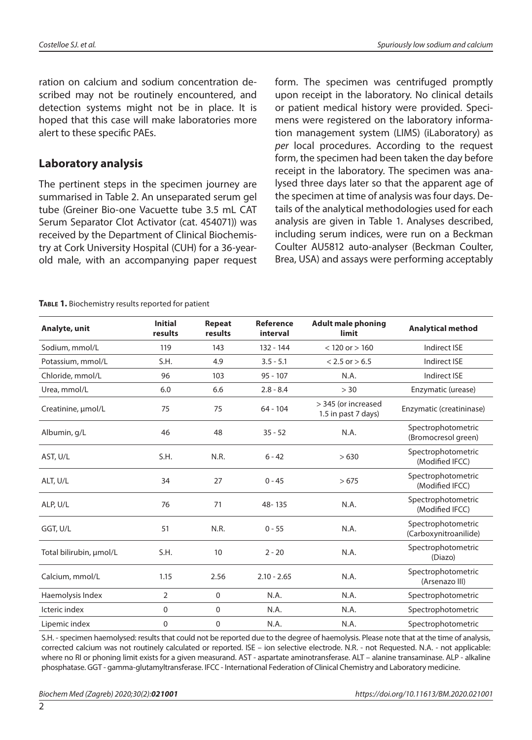ration on calcium and sodium concentration described may not be routinely encountered, and detection systems might not be in place. It is hoped that this case will make laboratories more alert to these specific PAEs.

# **Laboratory analysis**

The pertinent steps in the specimen journey are summarised in Table 2. An unseparated serum gel tube (Greiner Bio-one Vacuette tube 3.5 mL CAT Serum Separator Clot Activator (cat. 454071)) was received by the Department of Clinical Biochemistry at Cork University Hospital (CUH) for a 36-yearold male, with an accompanying paper request form. The specimen was centrifuged promptly upon receipt in the laboratory. No clinical details or patient medical history were provided. Specimens were registered on the laboratory information management system (LIMS) (iLaboratory) as *per* local procedures. According to the request form, the specimen had been taken the day before receipt in the laboratory. The specimen was analysed three days later so that the apparent age of the specimen at time of analysis was four days. Details of the analytical methodologies used for each analysis are given in Table 1. Analyses described, including serum indices, were run on a Beckman Coulter AU5812 auto-analyser (Beckman Coulter, Brea, USA) and assays were performing acceptably

#### TABLE 1. Biochemistry results reported for patient

| Analyte, unit           | <b>Initial</b><br>results | Repeat<br>results | <b>Reference</b><br>interval | <b>Adult male phoning</b><br>limit         | <b>Analytical method</b>                    |
|-------------------------|---------------------------|-------------------|------------------------------|--------------------------------------------|---------------------------------------------|
| Sodium, mmol/L          | 119                       | 143               | $132 - 144$                  | $< 120$ or $> 160$                         | Indirect ISE                                |
| Potassium, mmol/L       | S.H.                      | 4.9               | $3.5 - 5.1$                  | $< 2.5$ or $> 6.5$                         | Indirect ISE                                |
| Chloride, mmol/L        | 96                        | 103               | $95 - 107$                   | N.A.                                       | Indirect ISE                                |
| Urea, mmol/L            | 6.0                       | 6.6               | $2.8 - 8.4$                  | > 30                                       | Enzymatic (urease)                          |
| Creatinine, µmol/L      | 75                        | 75                | $64 - 104$                   | > 345 (or increased<br>1.5 in past 7 days) | Enzymatic (creatininase)                    |
| Albumin, g/L            | 46                        | 48                | $35 - 52$                    | N.A.                                       | Spectrophotometric<br>(Bromocresol green)   |
| AST, U/L                | S.H.                      | N.R.              | $6 - 42$                     | >630                                       | Spectrophotometric<br>(Modified IFCC)       |
| ALT, U/L                | 34                        | 27                | $0 - 45$                     | >675                                       | Spectrophotometric<br>(Modified IFCC)       |
| ALP, U/L                | 76                        | 71                | 48-135                       | N.A.                                       | Spectrophotometric<br>(Modified IFCC)       |
| GGT, U/L                | 51                        | N.R.              | $0 - 55$                     | N.A.                                       | Spectrophotometric<br>(Carboxynitroanilide) |
| Total bilirubin, umol/L | S.H.                      | 10                | $2 - 20$                     | N.A.                                       | Spectrophotometric<br>(Diazo)               |
| Calcium, mmol/L         | 1.15                      | 2.56              | $2.10 - 2.65$                | N.A.                                       | Spectrophotometric<br>(Arsenazo III)        |
| Haemolysis Index        | $\overline{2}$            | $\mathbf 0$       | N.A.                         | N.A.                                       | Spectrophotometric                          |
| Icteric index           | 0                         | 0                 | N.A.                         | N.A.                                       | Spectrophotometric                          |
| Lipemic index           | 0                         | 0                 | N.A.                         | N.A.                                       | Spectrophotometric                          |

S.H. - specimen haemolysed: results that could not be reported due to the degree of haemolysis. Please note that at the time of analysis, corrected calcium was not routinely calculated or reported. ISE – ion selective electrode. N.R. - not Requested. N.A. - not applicable: where no RI or phoning limit exists for a given measurand. AST - aspartate aminotransferase. ALT – alanine transaminase. ALP - alkaline phosphatase. GGT - gamma-glutamyltransferase. IFCC - International Federation of Clinical Chemistry and Laboratory medicine.

 $\mathfrak{D}$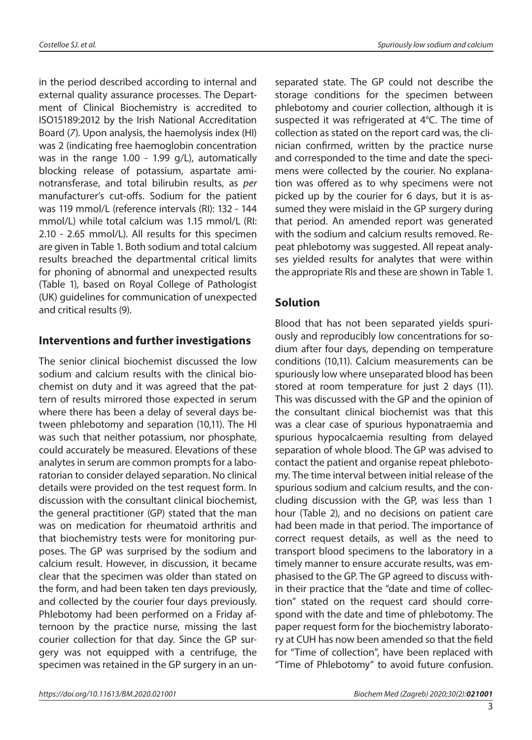in the period described according to internal and external quality assurance processes. The Department of Clinical Biochemistry is accredited to ISO15189:2012 by the Irish National Accreditation Board (*7*). Upon analysis, the haemolysis index (HI) was 2 (indicating free haemoglobin concentration was in the range 1.00 - 1.99 g/L), automatically blocking release of potassium, aspartate aminotransferase, and total bilirubin results, as *per* manufacturer's cut-offs. Sodium for the patient was 119 mmol/L (reference intervals (RI): 132 - 144 mmol/L) while total calcium was 1.15 mmol/L (RI: 2.10 - 2.65 mmol/L). All results for this specimen are given in Table 1. Both sodium and total calcium results breached the departmental critical limits for phoning of abnormal and unexpected results (Table 1), based on Royal College of Pathologist (UK) guidelines for communication of unexpected and critical results (9).

# **Interventions and further investigations**

The senior clinical biochemist discussed the low sodium and calcium results with the clinical biochemist on duty and it was agreed that the pattern of results mirrored those expected in serum where there has been a delay of several days between phlebotomy and separation (10,11). The HI was such that neither potassium, nor phosphate, could accurately be measured. Elevations of these analytes in serum are common prompts for a laboratorian to consider delayed separation. No clinical details were provided on the test request form. In discussion with the consultant clinical biochemist, the general practitioner (GP) stated that the man was on medication for rheumatoid arthritis and that biochemistry tests were for monitoring purposes. The GP was surprised by the sodium and calcium result. However, in discussion, it became clear that the specimen was older than stated on the form, and had been taken ten days previously, and collected by the courier four days previously. Phlebotomy had been performed on a Friday afternoon by the practice nurse, missing the last courier collection for that day. Since the GP surgery was not equipped with a centrifuge, the specimen was retained in the GP surgery in an unseparated state. The GP could not describe the storage conditions for the specimen between phlebotomy and courier collection, although it is suspected it was refrigerated at 4°C. The time of collection as stated on the report card was, the clinician confirmed, written by the practice nurse and corresponded to the time and date the specimens were collected by the courier. No explanation was offered as to why specimens were not picked up by the courier for 6 days, but it is assumed they were mislaid in the GP surgery during that period. An amended report was generated with the sodium and calcium results removed. Repeat phlebotomy was suggested. All repeat analyses yielded results for analytes that were within the appropriate RIs and these are shown in Table 1.

# **Solution**

Blood that has not been separated yields spuriously and reproducibly low concentrations for sodium after four days, depending on temperature conditions (10,11). Calcium measurements can be spuriously low where unseparated blood has been stored at room temperature for just 2 days (11). This was discussed with the GP and the opinion of the consultant clinical biochemist was that this was a clear case of spurious hyponatraemia and spurious hypocalcaemia resulting from delayed separation of whole blood. The GP was advised to contact the patient and organise repeat phlebotomy. The time interval between initial release of the spurious sodium and calcium results, and the concluding discussion with the GP, was less than 1 hour (Table 2), and no decisions on patient care had been made in that period. The importance of correct request details, as well as the need to transport blood specimens to the laboratory in a timely manner to ensure accurate results, was emphasised to the GP. The GP agreed to discuss within their practice that the "date and time of collection" stated on the request card should correspond with the date and time of phlebotomy. The paper request form for the biochemistry laboratory at CUH has now been amended so that the field for "Time of collection", have been replaced with "Time of Phlebotomy" to avoid future confusion.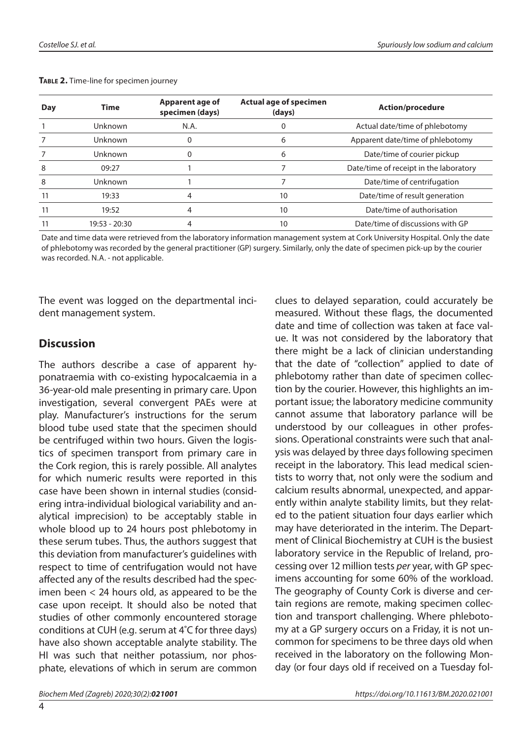| Day | <b>Time</b>     | Apparent age of<br>specimen (days) | Actual age of specimen<br>(days) | <b>Action/procedure</b>                |
|-----|-----------------|------------------------------------|----------------------------------|----------------------------------------|
|     | <b>Unknown</b>  | N.A.                               |                                  | Actual date/time of phlebotomy         |
|     | Unknown         | 0                                  | 6                                | Apparent date/time of phlebotomy       |
|     | <b>Unknown</b>  | 0                                  | 6                                | Date/time of courier pickup            |
| 8   | 09:27           |                                    |                                  | Date/time of receipt in the laboratory |
| 8   | Unknown         |                                    |                                  | Date/time of centrifugation            |
|     | 19:33           | 4                                  | 10                               | Date/time of result generation         |
|     | 19:52           | 4                                  | 10                               | Date/time of authorisation             |
|     | $19:53 - 20:30$ |                                    | 10                               | Date/time of discussions with GP       |

#### **Table 2.** Time-line for specimen journey

Date and time data were retrieved from the laboratory information management system at Cork University Hospital. Only the date of phlebotomy was recorded by the general practitioner (GP) surgery. Similarly, only the date of specimen pick-up by the courier was recorded. N.A. - not applicable.

The event was logged on the departmental incident management system.

# **Discussion**

The authors describe a case of apparent hyponatraemia with co-existing hypocalcaemia in a 36-year-old male presenting in primary care. Upon investigation, several convergent PAEs were at play. Manufacturer's instructions for the serum blood tube used state that the specimen should be centrifuged within two hours. Given the logistics of specimen transport from primary care in the Cork region, this is rarely possible. All analytes for which numeric results were reported in this case have been shown in internal studies (considering intra-individual biological variability and analytical imprecision) to be acceptably stable in whole blood up to 24 hours post phlebotomy in these serum tubes. Thus, the authors suggest that this deviation from manufacturer's guidelines with respect to time of centrifugation would not have affected any of the results described had the specimen been < 24 hours old, as appeared to be the case upon receipt. It should also be noted that studies of other commonly encountered storage conditions at CUH (e.g. serum at 4˚C for three days) have also shown acceptable analyte stability. The HI was such that neither potassium, nor phosphate, elevations of which in serum are common

clues to delayed separation, could accurately be measured. Without these flags, the documented date and time of collection was taken at face value. It was not considered by the laboratory that there might be a lack of clinician understanding that the date of "collection" applied to date of phlebotomy rather than date of specimen collection by the courier. However, this highlights an important issue; the laboratory medicine community cannot assume that laboratory parlance will be understood by our colleagues in other professions. Operational constraints were such that analysis was delayed by three days following specimen receipt in the laboratory. This lead medical scientists to worry that, not only were the sodium and calcium results abnormal, unexpected, and apparently within analyte stability limits, but they related to the patient situation four days earlier which may have deteriorated in the interim. The Department of Clinical Biochemistry at CUH is the busiest laboratory service in the Republic of Ireland, processing over 12 million tests *per* year, with GP specimens accounting for some 60% of the workload. The geography of County Cork is diverse and certain regions are remote, making specimen collection and transport challenging. Where phlebotomy at a GP surgery occurs on a Friday, it is not uncommon for specimens to be three days old when received in the laboratory on the following Monday (or four days old if received on a Tuesday fol